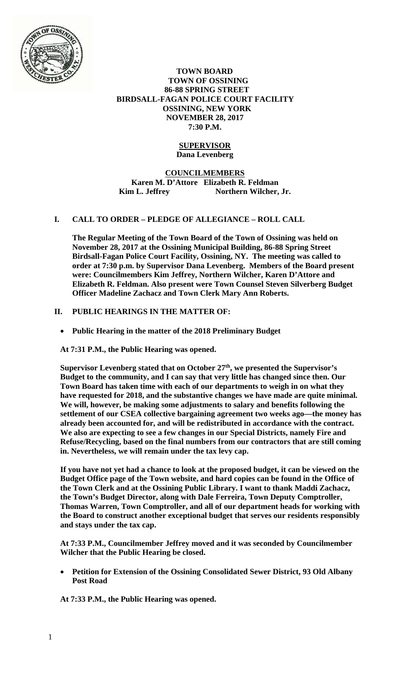

### **TOWN BOARD TOWN OF OSSINING 86-88 SPRING STREET BIRDSALL-FAGAN POLICE COURT FACILITY OSSINING, NEW YORK NOVEMBER 28, 2017 7:30 P.M.**

## **SUPERVISOR Dana Levenberg**

# **COUNCILMEMBERS Karen M. D'Attore Elizabeth R. Feldman**  Kim L. Jeffrey Northern Wilcher, Jr.

# **I. CALL TO ORDER – PLEDGE OF ALLEGIANCE – ROLL CALL**

**The Regular Meeting of the Town Board of the Town of Ossining was held on November 28, 2017 at the Ossining Municipal Building, 86-88 Spring Street Birdsall-Fagan Police Court Facility, Ossining, NY. The meeting was called to order at 7:30 p.m. by Supervisor Dana Levenberg. Members of the Board present were: Councilmembers Kim Jeffrey, Northern Wilcher, Karen D'Attore and Elizabeth R. Feldman. Also present were Town Counsel Steven Silverberg Budget Officer Madeline Zachacz and Town Clerk Mary Ann Roberts.** 

# **II. PUBLIC HEARINGS IN THE MATTER OF:**

**Public Hearing in the matter of the 2018 Preliminary Budget** 

**At 7:31 P.M., the Public Hearing was opened.** 

**Supervisor Levenberg stated that on October 27th, we presented the Supervisor's Budget to the community, and I can say that very little has changed since then. Our Town Board has taken time with each of our departments to weigh in on what they have requested for 2018, and the substantive changes we have made are quite minimal. We will, however, be making some adjustments to salary and benefits following the settlement of our CSEA collective bargaining agreement two weeks ago—the money has already been accounted for, and will be redistributed in accordance with the contract. We also are expecting to see a few changes in our Special Districts, namely Fire and Refuse/Recycling, based on the final numbers from our contractors that are still coming in. Nevertheless, we will remain under the tax levy cap.** 

**If you have not yet had a chance to look at the proposed budget, it can be viewed on the Budget Office page of the Town website, and hard copies can be found in the Office of the Town Clerk and at the Ossining Public Library. I want to thank Maddi Zachacz, the Town's Budget Director, along with Dale Ferreira, Town Deputy Comptroller, Thomas Warren, Town Comptroller, and all of our department heads for working with the Board to construct another exceptional budget that serves our residents responsibly and stays under the tax cap.** 

**At 7:33 P.M., Councilmember Jeffrey moved and it was seconded by Councilmember Wilcher that the Public Hearing be closed.** 

 **Petition for Extension of the Ossining Consolidated Sewer District, 93 Old Albany Post Road** 

**At 7:33 P.M., the Public Hearing was opened.**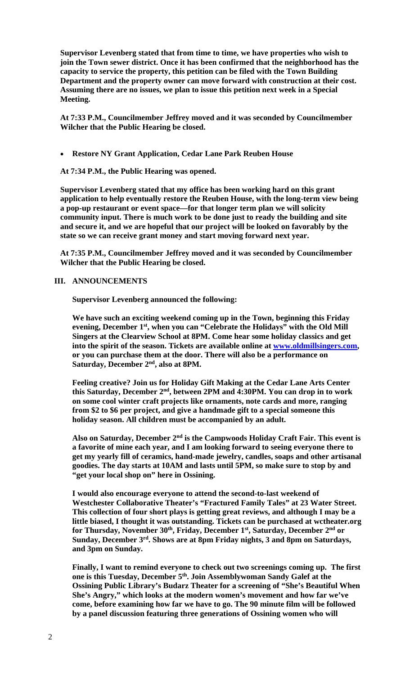**Supervisor Levenberg stated that from time to time, we have properties who wish to join the Town sewer district. Once it has been confirmed that the neighborhood has the capacity to service the property, this petition can be filed with the Town Building Department and the property owner can move forward with construction at their cost. Assuming there are no issues, we plan to issue this petition next week in a Special Meeting.** 

**At 7:33 P.M., Councilmember Jeffrey moved and it was seconded by Councilmember Wilcher that the Public Hearing be closed.** 

**Restore NY Grant Application, Cedar Lane Park Reuben House**

**At 7:34 P.M., the Public Hearing was opened.** 

**Supervisor Levenberg stated that my office has been working hard on this grant application to help eventually restore the Reuben House, with the long-term view being a pop-up restaurant or event space—for that longer term plan we will solicity community input. There is much work to be done just to ready the building and site and secure it, and we are hopeful that our project will be looked on favorably by the state so we can receive grant money and start moving forward next year.** 

**At 7:35 P.M., Councilmember Jeffrey moved and it was seconded by Councilmember Wilcher that the Public Hearing be closed.** 

### **III. ANNOUNCEMENTS**

**Supervisor Levenberg announced the following:** 

**We have such an exciting weekend coming up in the Town, beginning this Friday evening, December 1st, when you can "Celebrate the Holidays" with the Old Mill Singers at the Clearview School at 8PM. Come hear some holiday classics and get into the spirit of the season. Tickets are available online at www.oldmillsingers.com, or you can purchase them at the door. There will also be a performance on Saturday, December 2nd, also at 8PM.** 

**Feeling creative? Join us for Holiday Gift Making at the Cedar Lane Arts Center this Saturday, December 2nd, between 2PM and 4:30PM. You can drop in to work on some cool winter craft projects like ornaments, note cards and more, ranging from \$2 to \$6 per project, and give a handmade gift to a special someone this holiday season. All children must be accompanied by an adult.** 

**Also on Saturday, December 2nd is the Campwoods Holiday Craft Fair. This event is a favorite of mine each year, and I am looking forward to seeing everyone there to get my yearly fill of ceramics, hand-made jewelry, candles, soaps and other artisanal goodies. The day starts at 10AM and lasts until 5PM, so make sure to stop by and "get your local shop on" here in Ossining.** 

**I would also encourage everyone to attend the second-to-last weekend of Westchester Collaborative Theater's "Fractured Family Tales" at 23 Water Street. This collection of four short plays is getting great reviews, and although I may be a little biased, I thought it was outstanding. Tickets can be purchased at wctheater.org for Thursday, November 30th, Friday, December 1st, Saturday, December 2nd or Sunday, December 3rd. Shows are at 8pm Friday nights, 3 and 8pm on Saturdays, and 3pm on Sunday.** 

**Finally, I want to remind everyone to check out two screenings coming up. The first one is this Tuesday, December 5th. Join Assemblywoman Sandy Galef at the Ossining Public Library's Budarz Theater for a screening of "She's Beautiful When She's Angry," which looks at the modern women's movement and how far we've come, before examining how far we have to go. The 90 minute film will be followed by a panel discussion featuring three generations of Ossining women who will**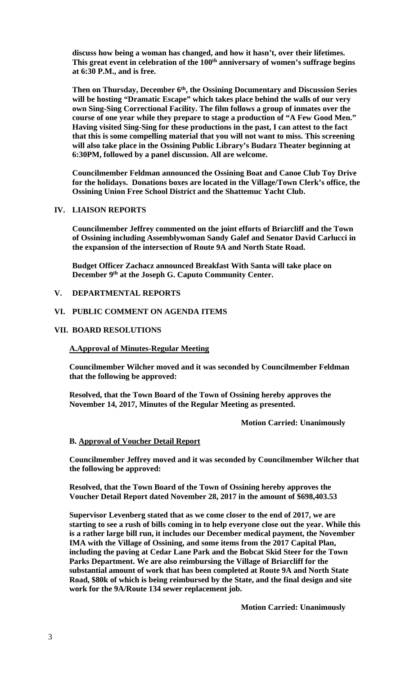**discuss how being a woman has changed, and how it hasn't, over their lifetimes.**  This great event in celebration of the 100<sup>th</sup> anniversary of women's suffrage begins **at 6:30 P.M., and is free.** 

**Then on Thursday, December 6th, the Ossining Documentary and Discussion Series will be hosting "Dramatic Escape" which takes place behind the walls of our very own Sing-Sing Correctional Facility. The film follows a group of inmates over the course of one year while they prepare to stage a production of "A Few Good Men." Having visited Sing-Sing for these productions in the past, I can attest to the fact that this is some compelling material that you will not want to miss. This screening will also take place in the Ossining Public Library's Budarz Theater beginning at 6:30PM, followed by a panel discussion. All are welcome.** 

**Councilmember Feldman announced the Ossining Boat and Canoe Club Toy Drive for the holidays. Donations boxes are located in the Village/Town Clerk's office, the Ossining Union Free School District and the Shattemuc Yacht Club.** 

#### **IV. LIAISON REPORTS**

**Councilmember Jeffrey commented on the joint efforts of Briarcliff and the Town of Ossining including Assemblywoman Sandy Galef and Senator David Carlucci in the expansion of the intersection of Route 9A and North State Road.** 

**Budget Officer Zachacz announced Breakfast With Santa will take place on December 9th at the Joseph G. Caputo Community Center.** 

### **V. DEPARTMENTAL REPORTS**

# **VI. PUBLIC COMMENT ON AGENDA ITEMS**

#### **VII. BOARD RESOLUTIONS**

#### **A.Approval of Minutes-Regular Meeting**

**Councilmember Wilcher moved and it was seconded by Councilmember Feldman that the following be approved:** 

**Resolved, that the Town Board of the Town of Ossining hereby approves the November 14, 2017, Minutes of the Regular Meeting as presented.** 

 **Motion Carried: Unanimously** 

## **B. Approval of Voucher Detail Report**

**Councilmember Jeffrey moved and it was seconded by Councilmember Wilcher that the following be approved:** 

**Resolved, that the Town Board of the Town of Ossining hereby approves the Voucher Detail Report dated November 28, 2017 in the amount of \$698,403.53** 

**Supervisor Levenberg stated that as we come closer to the end of 2017, we are starting to see a rush of bills coming in to help everyone close out the year. While this is a rather large bill run, it includes our December medical payment, the November IMA with the Village of Ossining, and some items from the 2017 Capital Plan, including the paving at Cedar Lane Park and the Bobcat Skid Steer for the Town Parks Department. We are also reimbursing the Village of Briarcliff for the substantial amount of work that has been completed at Route 9A and North State Road, \$80k of which is being reimbursed by the State, and the final design and site work for the 9A/Route 134 sewer replacement job.** 

 **Motion Carried: Unanimously**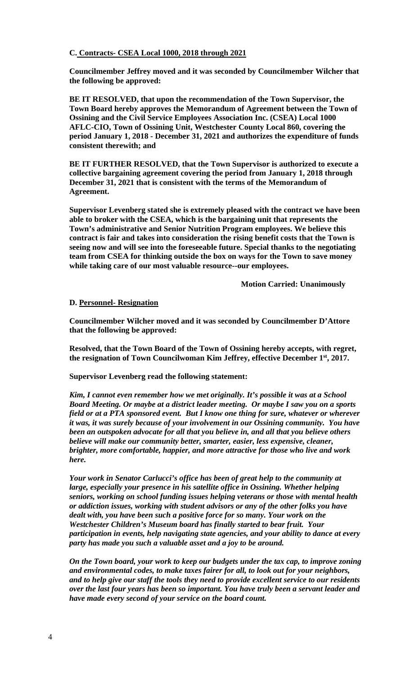## **C. Contracts- CSEA Local 1000, 2018 through 2021**

**Councilmember Jeffrey moved and it was seconded by Councilmember Wilcher that the following be approved:** 

**BE IT RESOLVED, that upon the recommendation of the Town Supervisor, the Town Board hereby approves the Memorandum of Agreement between the Town of Ossining and the Civil Service Employees Association Inc. (CSEA) Local 1000 AFLC-CIO, Town of Ossining Unit, Westchester County Local 860, covering the period January 1, 2018 - December 31, 2021 and authorizes the expenditure of funds consistent therewith; and** 

**BE IT FURTHER RESOLVED, that the Town Supervisor is authorized to execute a collective bargaining agreement covering the period from January 1, 2018 through December 31, 2021 that is consistent with the terms of the Memorandum of Agreement.** 

**Supervisor Levenberg stated she is extremely pleased with the contract we have been able to broker with the CSEA, which is the bargaining unit that represents the Town's administrative and Senior Nutrition Program employees. We believe this contract is fair and takes into consideration the rising benefit costs that the Town is seeing now and will see into the foreseeable future. Special thanks to the negotiating team from CSEA for thinking outside the box on ways for the Town to save money while taking care of our most valuable resource--our employees.** 

 **Motion Carried: Unanimously** 

#### **D. Personnel- Resignation**

**Councilmember Wilcher moved and it was seconded by Councilmember D'Attore that the following be approved:** 

**Resolved, that the Town Board of the Town of Ossining hereby accepts, with regret, the resignation of Town Councilwoman Kim Jeffrey, effective December 1st, 2017.** 

**Supervisor Levenberg read the following statement:** 

*Kim, I cannot even remember how we met originally. It's possible it was at a School Board Meeting. Or maybe at a district leader meeting. Or maybe I saw you on a sports field or at a PTA sponsored event. But I know one thing for sure, whatever or wherever it was, it was surely because of your involvement in our Ossining community. You have been an outspoken advocate for all that you believe in, and all that you believe others believe will make our community better, smarter, easier, less expensive, cleaner, brighter, more comfortable, happier, and more attractive for those who live and work here.* 

*Your work in Senator Carlucci's office has been of great help to the community at large, especially your presence in his satellite office in Ossining. Whether helping seniors, working on school funding issues helping veterans or those with mental health or addiction issues, working with student advisors or any of the other folks you have dealt with, you have been such a positive force for so many. Your work on the Westchester Children's Museum board has finally started to bear fruit. Your participation in events, help navigating state agencies, and your ability to dance at every party has made you such a valuable asset and a joy to be around.* 

*On the Town board, your work to keep our budgets under the tax cap, to improve zoning and environmental codes, to make taxes fairer for all, to look out for your neighbors, and to help give our staff the tools they need to provide excellent service to our residents over the last four years has been so important. You have truly been a servant leader and have made every second of your service on the board count.*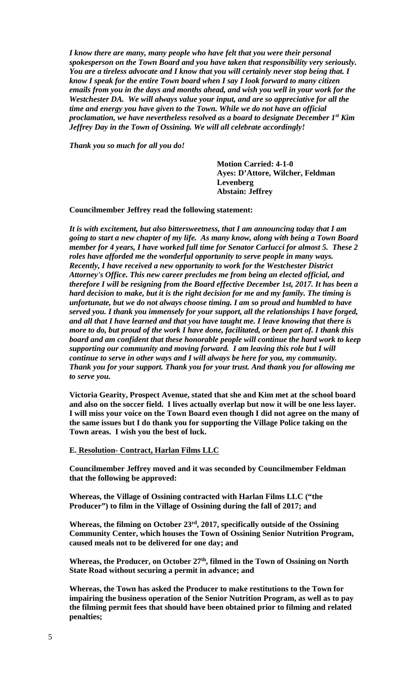*I know there are many, many people who have felt that you were their personal spokesperson on the Town Board and you have taken that responsibility very seriously. You are a tireless advocate and I know that you will certainly never stop being that. I know I speak for the entire Town board when I say I look forward to many citizen emails from you in the days and months ahead, and wish you well in your work for the Westchester DA. We will always value your input, and are so appreciative for all the time and energy you have given to the Town. While we do not have an official proclamation, we have nevertheless resolved as a board to designate December 1st Kim Jeffrey Day in the Town of Ossining. We will all celebrate accordingly!* 

*Thank you so much for all you do!* 

**Motion Carried: 4-1-0 Ayes: D'Attore, Wilcher, Feldman Levenberg Abstain: Jeffrey**

**Councilmember Jeffrey read the following statement:** 

*It is with excitement, but also bittersweetness, that I am announcing today that I am going to start a new chapter of my life. As many know, along with being a Town Board member for 4 years, I have worked full time for Senator Carlucci for almost 5. These 2 roles have afforded me the wonderful opportunity to serve people in many ways. Recently, I have received a new opportunity to work for the Westchester District Attorney's Office. This new career precludes me from being an elected official, and therefore I will be resigning from the Board effective December 1st, 2017. It has been a hard decision to make, but it is the right decision for me and my family. The timing is unfortunate, but we do not always choose timing. I am so proud and humbled to have served you. I thank you immensely for your support, all the relationships I have forged, and all that I have learned and that you have taught me. I leave knowing that there is more to do, but proud of the work I have done, facilitated, or been part of. I thank this board and am confident that these honorable people will continue the hard work to keep supporting our community and moving forward. I am leaving this role but I will continue to serve in other ways and I will always be here for you, my community. Thank you for your support. Thank you for your trust. And thank you for allowing me to serve you.* 

**Victoria Gearity, Prospect Avenue, stated that she and Kim met at the school board and also on the soccer field. I lives actually overlap but now it will be one less layer. I will miss your voice on the Town Board even though I did not agree on the many of the same issues but I do thank you for supporting the Village Police taking on the Town areas. I wish you the best of luck.** 

**E. Resolution- Contract, Harlan Films LLC** 

**Councilmember Jeffrey moved and it was seconded by Councilmember Feldman that the following be approved:** 

**Whereas, the Village of Ossining contracted with Harlan Films LLC ("the Producer") to film in the Village of Ossining during the fall of 2017; and** 

**Whereas, the filming on October 23rd, 2017, specifically outside of the Ossining Community Center, which houses the Town of Ossining Senior Nutrition Program, caused meals not to be delivered for one day; and** 

Whereas, the Producer, on October 27<sup>th</sup>, filmed in the Town of Ossining on North **State Road without securing a permit in advance; and** 

**Whereas, the Town has asked the Producer to make restitutions to the Town for impairing the business operation of the Senior Nutrition Program, as well as to pay the filming permit fees that should have been obtained prior to filming and related penalties;**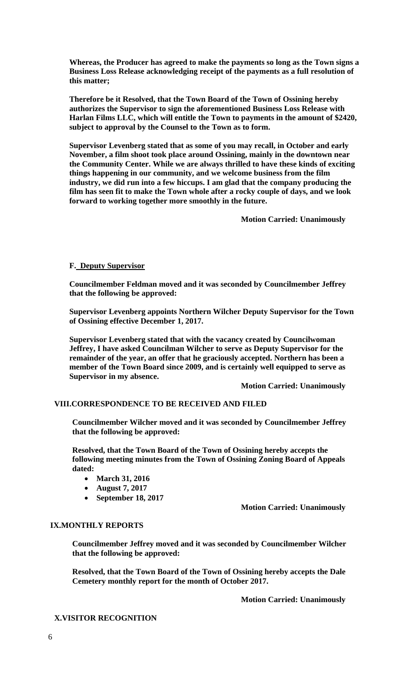**Whereas, the Producer has agreed to make the payments so long as the Town signs a Business Loss Release acknowledging receipt of the payments as a full resolution of this matter;** 

**Therefore be it Resolved, that the Town Board of the Town of Ossining hereby authorizes the Supervisor to sign the aforementioned Business Loss Release with Harlan Films LLC, which will entitle the Town to payments in the amount of \$2420, subject to approval by the Counsel to the Town as to form.** 

**Supervisor Levenberg stated that as some of you may recall, in October and early November, a film shoot took place around Ossining, mainly in the downtown near the Community Center. While we are always thrilled to have these kinds of exciting things happening in our community, and we welcome business from the film industry, we did run into a few hiccups. I am glad that the company producing the film has seen fit to make the Town whole after a rocky couple of days, and we look forward to working together more smoothly in the future.** 

 **Motion Carried: Unanimously** 

## **F. Deputy Supervisor**

**Councilmember Feldman moved and it was seconded by Councilmember Jeffrey that the following be approved:** 

**Supervisor Levenberg appoints Northern Wilcher Deputy Supervisor for the Town of Ossining effective December 1, 2017.** 

**Supervisor Levenberg stated that with the vacancy created by Councilwoman Jeffrey, I have asked Councilman Wilcher to serve as Deputy Supervisor for the remainder of the year, an offer that he graciously accepted. Northern has been a member of the Town Board since 2009, and is certainly well equipped to serve as Supervisor in my absence.** 

 **Motion Carried: Unanimously** 

# **VIII.CORRESPONDENCE TO BE RECEIVED AND FILED**

**Councilmember Wilcher moved and it was seconded by Councilmember Jeffrey that the following be approved:** 

**Resolved, that the Town Board of the Town of Ossining hereby accepts the following meeting minutes from the Town of Ossining Zoning Board of Appeals dated:** 

- **March 31, 2016**
- **August 7, 2017**
- **September 18, 2017**

 **Motion Carried: Unanimously** 

## **IX.MONTHLY REPORTS**

**Councilmember Jeffrey moved and it was seconded by Councilmember Wilcher that the following be approved:** 

**Resolved, that the Town Board of the Town of Ossining hereby accepts the Dale Cemetery monthly report for the month of October 2017.** 

 **Motion Carried: Unanimously** 

#### **X.VISITOR RECOGNITION**